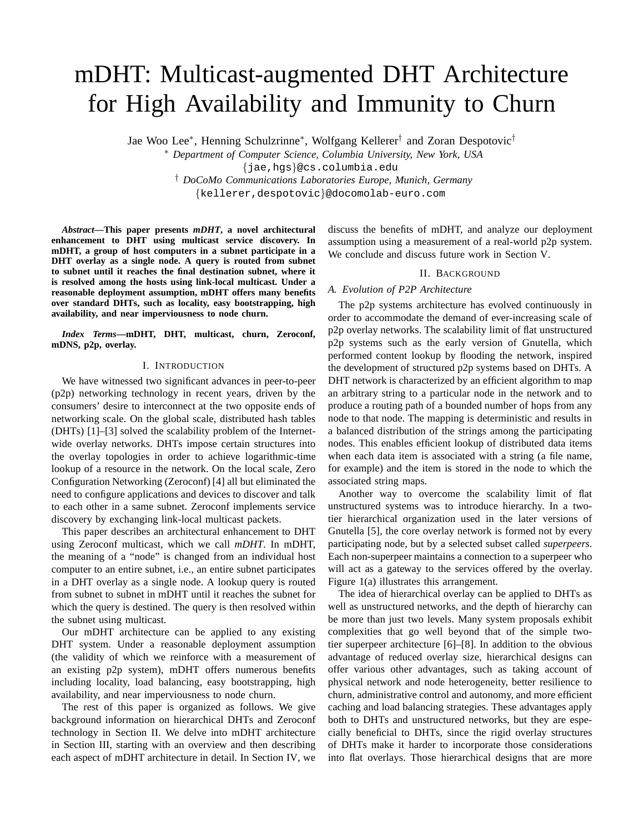# mDHT: Multicast-augmented DHT Architecture for High Availability and Immunity to Churn

Jae Woo Lee<sup>∗</sup> , Henning Schulzrinne<sup>∗</sup> , Wolfgang Kellerer† and Zoran Despotovic†

<sup>∗</sup> *Department of Computer Science, Columbia University, New York, USA*

{jae,hgs}@cs.columbia.edu

† *DoCoMo Communications Laboratories Europe, Munich, Germany* {kellerer,despotovic}@docomolab-euro.com

*Abstract***—This paper presents** *mDHT***, a novel architectural enhancement to DHT using multicast service discovery. In mDHT, a group of host computers in a subnet participate in a DHT overlay as a single node. A query is routed from subnet to subnet until it reaches the final destination subnet, where it is resolved among the hosts using link-local multicast. Under a reasonable deployment assumption, mDHT offers many benefits over standard DHTs, such as locality, easy bootstrapping, high availability, and near imperviousness to node churn.**

*Index Terms***—mDHT, DHT, multicast, churn, Zeroconf, mDNS, p2p, overlay.**

#### I. INTRODUCTION

We have witnessed two significant advances in peer-to-peer (p2p) networking technology in recent years, driven by the consumers' desire to interconnect at the two opposite ends of networking scale. On the global scale, distributed hash tables (DHTs) [1]–[3] solved the scalability problem of the Internetwide overlay networks. DHTs impose certain structures into the overlay topologies in order to achieve logarithmic-time lookup of a resource in the network. On the local scale, Zero Configuration Networking (Zeroconf) [4] all but eliminated the need to configure applications and devices to discover and talk to each other in a same subnet. Zeroconf implements service discovery by exchanging link-local multicast packets.

This paper describes an architectural enhancement to DHT using Zeroconf multicast, which we call *mDHT*. In mDHT, the meaning of a "node" is changed from an individual host computer to an entire subnet, i.e., an entire subnet participates in a DHT overlay as a single node. A lookup query is routed from subnet to subnet in mDHT until it reaches the subnet for which the query is destined. The query is then resolved within the subnet using multicast.

Our mDHT architecture can be applied to any existing DHT system. Under a reasonable deployment assumption (the validity of which we reinforce with a measurement of an existing p2p system), mDHT offers numerous benefits including locality, load balancing, easy bootstrapping, high availability, and near imperviousness to node churn.

The rest of this paper is organized as follows. We give background information on hierarchical DHTs and Zeroconf technology in Section II. We delve into mDHT architecture in Section III, starting with an overview and then describing each aspect of mDHT architecture in detail. In Section IV, we

discuss the benefits of mDHT, and analyze our deployment assumption using a measurement of a real-world p2p system. We conclude and discuss future work in Section V.

#### II. BACKGROUND

# *A. Evolution of P2P Architecture*

The p2p systems architecture has evolved continuously in order to accommodate the demand of ever-increasing scale of p2p overlay networks. The scalability limit of flat unstructured p2p systems such as the early version of Gnutella, which performed content lookup by flooding the network, inspired the development of structured p2p systems based on DHTs. A DHT network is characterized by an efficient algorithm to map an arbitrary string to a particular node in the network and to produce a routing path of a bounded number of hops from any node to that node. The mapping is deterministic and results in a balanced distribution of the strings among the participating nodes. This enables efficient lookup of distributed data items when each data item is associated with a string (a file name, for example) and the item is stored in the node to which the associated string maps.

Another way to overcome the scalability limit of flat unstructured systems was to introduce hierarchy. In a twotier hierarchical organization used in the later versions of Gnutella [5], the core overlay network is formed not by every participating node, but by a selected subset called *superpeers*. Each non-superpeer maintains a connection to a superpeer who will act as a gateway to the services offered by the overlay. Figure 1(a) illustrates this arrangement.

The idea of hierarchical overlay can be applied to DHTs as well as unstructured networks, and the depth of hierarchy can be more than just two levels. Many system proposals exhibit complexities that go well beyond that of the simple twotier superpeer architecture [6]–[8]. In addition to the obvious advantage of reduced overlay size, hierarchical designs can offer various other advantages, such as taking account of physical network and node heterogeneity, better resilience to churn, administrative control and autonomy, and more efficient caching and load balancing strategies. These advantages apply both to DHTs and unstructured networks, but they are especially beneficial to DHTs, since the rigid overlay structures of DHTs make it harder to incorporate those considerations into flat overlays. Those hierarchical designs that are more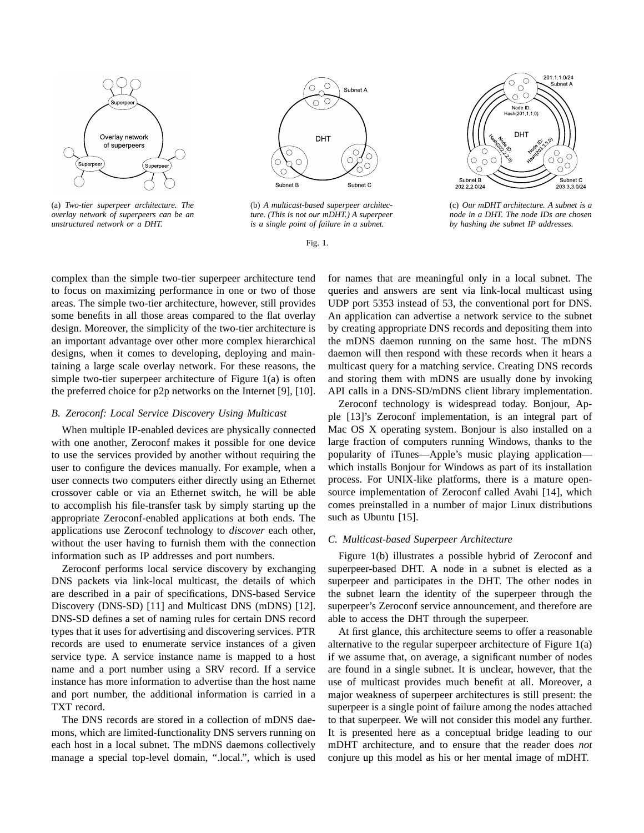

(a) *Two-tier superpeer architecture. The overlay network of superpeers can be an unstructured network or a DHT.*



(b) *A multicast-based superpeer architecture. (This is not our mDHT.) A superpeer is a single point of failure in a subnet.*

Fig. 1.



(c) *Our mDHT architecture. A subnet is a node in a DHT. The node IDs are chosen by hashing the subnet IP addresses.*

complex than the simple two-tier superpeer architecture tend to focus on maximizing performance in one or two of those areas. The simple two-tier architecture, however, still provides some benefits in all those areas compared to the flat overlay design. Moreover, the simplicity of the two-tier architecture is an important advantage over other more complex hierarchical designs, when it comes to developing, deploying and maintaining a large scale overlay network. For these reasons, the simple two-tier superpeer architecture of Figure 1(a) is often the preferred choice for p2p networks on the Internet [9], [10].

#### *B. Zeroconf: Local Service Discovery Using Multicast*

When multiple IP-enabled devices are physically connected with one another, Zeroconf makes it possible for one device to use the services provided by another without requiring the user to configure the devices manually. For example, when a user connects two computers either directly using an Ethernet crossover cable or via an Ethernet switch, he will be able to accomplish his file-transfer task by simply starting up the appropriate Zeroconf-enabled applications at both ends. The applications use Zeroconf technology to *discover* each other, without the user having to furnish them with the connection information such as IP addresses and port numbers.

Zeroconf performs local service discovery by exchanging DNS packets via link-local multicast, the details of which are described in a pair of specifications, DNS-based Service Discovery (DNS-SD) [11] and Multicast DNS (mDNS) [12]. DNS-SD defines a set of naming rules for certain DNS record types that it uses for advertising and discovering services. PTR records are used to enumerate service instances of a given service type. A service instance name is mapped to a host name and a port number using a SRV record. If a service instance has more information to advertise than the host name and port number, the additional information is carried in a TXT record.

The DNS records are stored in a collection of mDNS daemons, which are limited-functionality DNS servers running on each host in a local subnet. The mDNS daemons collectively manage a special top-level domain, ".local.", which is used for names that are meaningful only in a local subnet. The queries and answers are sent via link-local multicast using UDP port 5353 instead of 53, the conventional port for DNS. An application can advertise a network service to the subnet by creating appropriate DNS records and depositing them into the mDNS daemon running on the same host. The mDNS daemon will then respond with these records when it hears a multicast query for a matching service. Creating DNS records and storing them with mDNS are usually done by invoking API calls in a DNS-SD/mDNS client library implementation.

Zeroconf technology is widespread today. Bonjour, Apple [13]'s Zeroconf implementation, is an integral part of Mac OS X operating system. Bonjour is also installed on a large fraction of computers running Windows, thanks to the popularity of iTunes—Apple's music playing application which installs Bonjour for Windows as part of its installation process. For UNIX-like platforms, there is a mature opensource implementation of Zeroconf called Avahi [14], which comes preinstalled in a number of major Linux distributions such as Ubuntu [15].

## *C. Multicast-based Superpeer Architecture*

Figure 1(b) illustrates a possible hybrid of Zeroconf and superpeer-based DHT. A node in a subnet is elected as a superpeer and participates in the DHT. The other nodes in the subnet learn the identity of the superpeer through the superpeer's Zeroconf service announcement, and therefore are able to access the DHT through the superpeer.

At first glance, this architecture seems to offer a reasonable alternative to the regular superpeer architecture of Figure 1(a) if we assume that, on average, a significant number of nodes are found in a single subnet. It is unclear, however, that the use of multicast provides much benefit at all. Moreover, a major weakness of superpeer architectures is still present: the superpeer is a single point of failure among the nodes attached to that superpeer. We will not consider this model any further. It is presented here as a conceptual bridge leading to our mDHT architecture, and to ensure that the reader does *not* conjure up this model as his or her mental image of mDHT.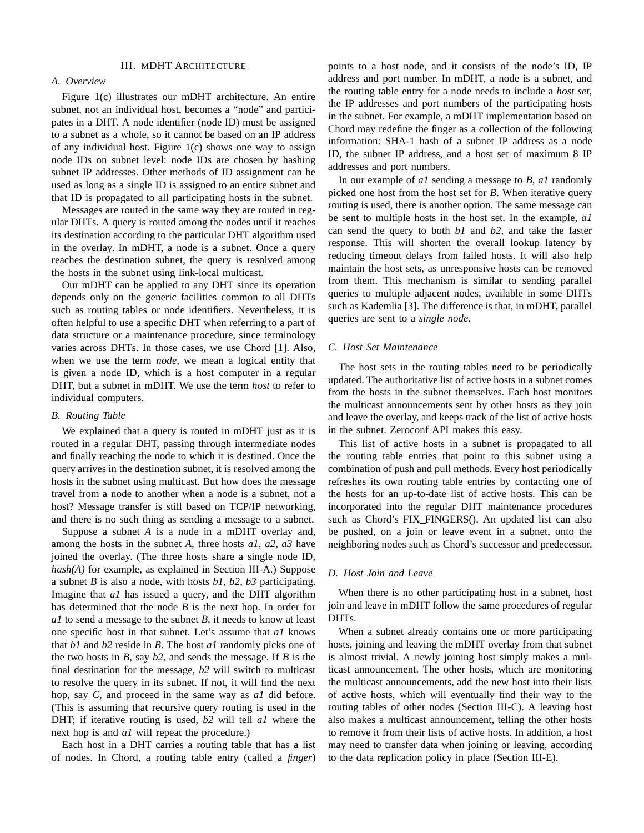#### III. MDHT ARCHITECTURE

#### *A. Overview*

Figure 1(c) illustrates our mDHT architecture. An entire subnet, not an individual host, becomes a "node" and participates in a DHT. A node identifier (node ID) must be assigned to a subnet as a whole, so it cannot be based on an IP address of any individual host. Figure 1(c) shows one way to assign node IDs on subnet level: node IDs are chosen by hashing subnet IP addresses. Other methods of ID assignment can be used as long as a single ID is assigned to an entire subnet and that ID is propagated to all participating hosts in the subnet.

Messages are routed in the same way they are routed in regular DHTs. A query is routed among the nodes until it reaches its destination according to the particular DHT algorithm used in the overlay. In mDHT, a node is a subnet. Once a query reaches the destination subnet, the query is resolved among the hosts in the subnet using link-local multicast.

Our mDHT can be applied to any DHT since its operation depends only on the generic facilities common to all DHTs such as routing tables or node identifiers. Nevertheless, it is often helpful to use a specific DHT when referring to a part of data structure or a maintenance procedure, since terminology varies across DHTs. In those cases, we use Chord [1]. Also, when we use the term *node*, we mean a logical entity that is given a node ID, which is a host computer in a regular DHT, but a subnet in mDHT. We use the term *host* to refer to individual computers.

## *B. Routing Table*

We explained that a query is routed in mDHT just as it is routed in a regular DHT, passing through intermediate nodes and finally reaching the node to which it is destined. Once the query arrives in the destination subnet, it is resolved among the hosts in the subnet using multicast. But how does the message travel from a node to another when a node is a subnet, not a host? Message transfer is still based on TCP/IP networking, and there is no such thing as sending a message to a subnet.

Suppose a subnet *A* is a node in a mDHT overlay and, among the hosts in the subnet *A*, three hosts *a1, a2, a3* have joined the overlay. (The three hosts share a single node ID, *hash(A)* for example, as explained in Section III-A.) Suppose a subnet *B* is also a node, with hosts *b1, b2, b3* participating. Imagine that *a1* has issued a query, and the DHT algorithm has determined that the node *B* is the next hop. In order for *a1* to send a message to the subnet *B*, it needs to know at least one specific host in that subnet. Let's assume that *a1* knows that *b1* and *b2* reside in *B*. The host *a1* randomly picks one of the two hosts in *B*, say *b2*, and sends the message. If *B* is the final destination for the message, *b2* will switch to multicast to resolve the query in its subnet. If not, it will find the next hop, say *C*, and proceed in the same way as *a1* did before. (This is assuming that recursive query routing is used in the DHT; if iterative routing is used, *b2* will tell *a1* where the next hop is and *a1* will repeat the procedure.)

Each host in a DHT carries a routing table that has a list of nodes. In Chord, a routing table entry (called a *finger*)

points to a host node, and it consists of the node's ID, IP address and port number. In mDHT, a node is a subnet, and the routing table entry for a node needs to include a *host set*, the IP addresses and port numbers of the participating hosts in the subnet. For example, a mDHT implementation based on Chord may redefine the finger as a collection of the following information: SHA-1 hash of a subnet IP address as a node ID, the subnet IP address, and a host set of maximum 8 IP addresses and port numbers.

In our example of *a1* sending a message to *B*, *a1* randomly picked one host from the host set for *B*. When iterative query routing is used, there is another option. The same message can be sent to multiple hosts in the host set. In the example, *a1* can send the query to both *b1* and *b2*, and take the faster response. This will shorten the overall lookup latency by reducing timeout delays from failed hosts. It will also help maintain the host sets, as unresponsive hosts can be removed from them. This mechanism is similar to sending parallel queries to multiple adjacent nodes, available in some DHTs such as Kademlia [3]. The difference is that, in mDHT, parallel queries are sent to a *single node*.

## *C. Host Set Maintenance*

The host sets in the routing tables need to be periodically updated. The authoritative list of active hosts in a subnet comes from the hosts in the subnet themselves. Each host monitors the multicast announcements sent by other hosts as they join and leave the overlay, and keeps track of the list of active hosts in the subnet. Zeroconf API makes this easy.

This list of active hosts in a subnet is propagated to all the routing table entries that point to this subnet using a combination of push and pull methods. Every host periodically refreshes its own routing table entries by contacting one of the hosts for an up-to-date list of active hosts. This can be incorporated into the regular DHT maintenance procedures such as Chord's FIX\_FINGERS(). An updated list can also be pushed, on a join or leave event in a subnet, onto the neighboring nodes such as Chord's successor and predecessor.

#### *D. Host Join and Leave*

When there is no other participating host in a subnet, host join and leave in mDHT follow the same procedures of regular DHTs.

When a subnet already contains one or more participating hosts, joining and leaving the mDHT overlay from that subnet is almost trivial. A newly joining host simply makes a multicast announcement. The other hosts, which are monitoring the multicast announcements, add the new host into their lists of active hosts, which will eventually find their way to the routing tables of other nodes (Section III-C). A leaving host also makes a multicast announcement, telling the other hosts to remove it from their lists of active hosts. In addition, a host may need to transfer data when joining or leaving, according to the data replication policy in place (Section III-E).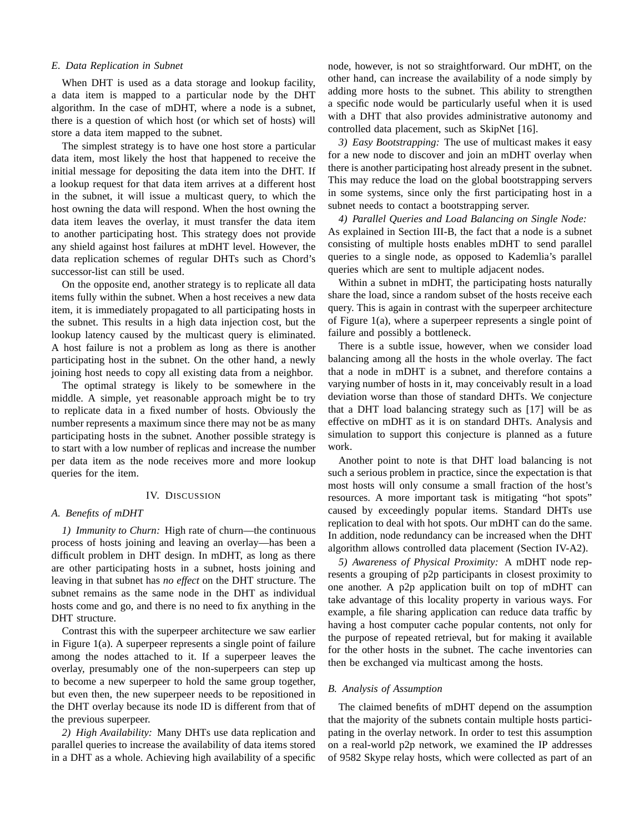#### *E. Data Replication in Subnet*

When DHT is used as a data storage and lookup facility, a data item is mapped to a particular node by the DHT algorithm. In the case of mDHT, where a node is a subnet, there is a question of which host (or which set of hosts) will store a data item mapped to the subnet.

The simplest strategy is to have one host store a particular data item, most likely the host that happened to receive the initial message for depositing the data item into the DHT. If a lookup request for that data item arrives at a different host in the subnet, it will issue a multicast query, to which the host owning the data will respond. When the host owning the data item leaves the overlay, it must transfer the data item to another participating host. This strategy does not provide any shield against host failures at mDHT level. However, the data replication schemes of regular DHTs such as Chord's successor-list can still be used.

On the opposite end, another strategy is to replicate all data items fully within the subnet. When a host receives a new data item, it is immediately propagated to all participating hosts in the subnet. This results in a high data injection cost, but the lookup latency caused by the multicast query is eliminated. A host failure is not a problem as long as there is another participating host in the subnet. On the other hand, a newly joining host needs to copy all existing data from a neighbor.

The optimal strategy is likely to be somewhere in the middle. A simple, yet reasonable approach might be to try to replicate data in a fixed number of hosts. Obviously the number represents a maximum since there may not be as many participating hosts in the subnet. Another possible strategy is to start with a low number of replicas and increase the number per data item as the node receives more and more lookup queries for the item.

#### IV. DISCUSSION

#### *A. Benefits of mDHT*

*1) Immunity to Churn:* High rate of churn—the continuous process of hosts joining and leaving an overlay—has been a difficult problem in DHT design. In mDHT, as long as there are other participating hosts in a subnet, hosts joining and leaving in that subnet has *no effect* on the DHT structure. The subnet remains as the same node in the DHT as individual hosts come and go, and there is no need to fix anything in the DHT structure.

Contrast this with the superpeer architecture we saw earlier in Figure 1(a). A superpeer represents a single point of failure among the nodes attached to it. If a superpeer leaves the overlay, presumably one of the non-superpeers can step up to become a new superpeer to hold the same group together, but even then, the new superpeer needs to be repositioned in the DHT overlay because its node ID is different from that of the previous superpeer.

*2) High Availability:* Many DHTs use data replication and parallel queries to increase the availability of data items stored in a DHT as a whole. Achieving high availability of a specific node, however, is not so straightforward. Our mDHT, on the other hand, can increase the availability of a node simply by adding more hosts to the subnet. This ability to strengthen a specific node would be particularly useful when it is used with a DHT that also provides administrative autonomy and controlled data placement, such as SkipNet [16].

*3) Easy Bootstrapping:* The use of multicast makes it easy for a new node to discover and join an mDHT overlay when there is another participating host already present in the subnet. This may reduce the load on the global bootstrapping servers in some systems, since only the first participating host in a subnet needs to contact a bootstrapping server.

*4) Parallel Queries and Load Balancing on Single Node:* As explained in Section III-B, the fact that a node is a subnet consisting of multiple hosts enables mDHT to send parallel queries to a single node, as opposed to Kademlia's parallel queries which are sent to multiple adjacent nodes.

Within a subnet in mDHT, the participating hosts naturally share the load, since a random subset of the hosts receive each query. This is again in contrast with the superpeer architecture of Figure 1(a), where a superpeer represents a single point of failure and possibly a bottleneck.

There is a subtle issue, however, when we consider load balancing among all the hosts in the whole overlay. The fact that a node in mDHT is a subnet, and therefore contains a varying number of hosts in it, may conceivably result in a load deviation worse than those of standard DHTs. We conjecture that a DHT load balancing strategy such as [17] will be as effective on mDHT as it is on standard DHTs. Analysis and simulation to support this conjecture is planned as a future work.

Another point to note is that DHT load balancing is not such a serious problem in practice, since the expectation is that most hosts will only consume a small fraction of the host's resources. A more important task is mitigating "hot spots" caused by exceedingly popular items. Standard DHTs use replication to deal with hot spots. Our mDHT can do the same. In addition, node redundancy can be increased when the DHT algorithm allows controlled data placement (Section IV-A2).

*5) Awareness of Physical Proximity:* A mDHT node represents a grouping of p2p participants in closest proximity to one another. A p2p application built on top of mDHT can take advantage of this locality property in various ways. For example, a file sharing application can reduce data traffic by having a host computer cache popular contents, not only for the purpose of repeated retrieval, but for making it available for the other hosts in the subnet. The cache inventories can then be exchanged via multicast among the hosts.

## *B. Analysis of Assumption*

The claimed benefits of mDHT depend on the assumption that the majority of the subnets contain multiple hosts participating in the overlay network. In order to test this assumption on a real-world p2p network, we examined the IP addresses of 9582 Skype relay hosts, which were collected as part of an